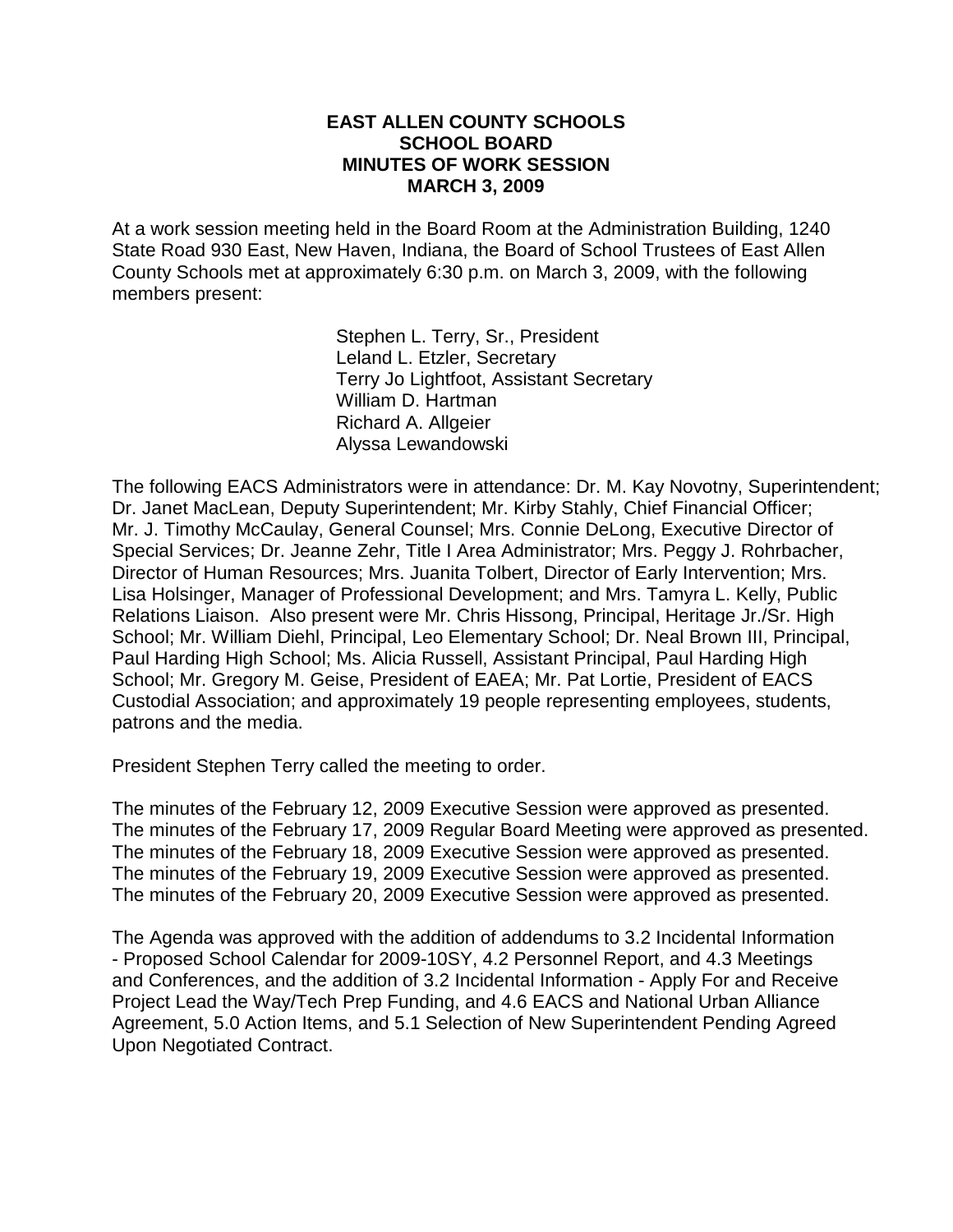#### **EAST ALLEN COUNTY SCHOOLS SCHOOL BOARD MINUTES OF WORK SESSION MARCH 3, 2009**

At a work session meeting held in the Board Room at the Administration Building, 1240 State Road 930 East, New Haven, Indiana, the Board of School Trustees of East Allen County Schools met at approximately 6:30 p.m. on March 3, 2009, with the following members present:

> Stephen L. Terry, Sr., President Leland L. Etzler, Secretary Terry Jo Lightfoot, Assistant Secretary William D. Hartman Richard A. Allgeier Alyssa Lewandowski

The following EACS Administrators were in attendance: Dr. M. Kay Novotny, Superintendent; Dr. Janet MacLean, Deputy Superintendent; Mr. Kirby Stahly, Chief Financial Officer; Mr. J. Timothy McCaulay, General Counsel; Mrs. Connie DeLong, Executive Director of Special Services; Dr. Jeanne Zehr, Title I Area Administrator; Mrs. Peggy J. Rohrbacher, Director of Human Resources; Mrs. Juanita Tolbert, Director of Early Intervention; Mrs. Lisa Holsinger, Manager of Professional Development; and Mrs. Tamyra L. Kelly, Public Relations Liaison. Also present were Mr. Chris Hissong, Principal, Heritage Jr./Sr. High School; Mr. William Diehl, Principal, Leo Elementary School; Dr. Neal Brown III, Principal, Paul Harding High School; Ms. Alicia Russell, Assistant Principal, Paul Harding High School; Mr. Gregory M. Geise, President of EAEA; Mr. Pat Lortie, President of EACS Custodial Association; and approximately 19 people representing employees, students, patrons and the media.

President Stephen Terry called the meeting to order.

The minutes of the February 12, 2009 Executive Session were approved as presented. The minutes of the February 17, 2009 Regular Board Meeting were approved as presented. The minutes of the February 18, 2009 Executive Session were approved as presented. The minutes of the February 19, 2009 Executive Session were approved as presented. The minutes of the February 20, 2009 Executive Session were approved as presented.

The Agenda was approved with the addition of addendums to 3.2 Incidental Information - Proposed School Calendar for 2009-10SY, 4.2 Personnel Report, and 4.3 Meetings and Conferences, and the addition of 3.2 Incidental Information - Apply For and Receive Project Lead the Way/Tech Prep Funding, and 4.6 EACS and National Urban Alliance Agreement, 5.0 Action Items, and 5.1 Selection of New Superintendent Pending Agreed Upon Negotiated Contract.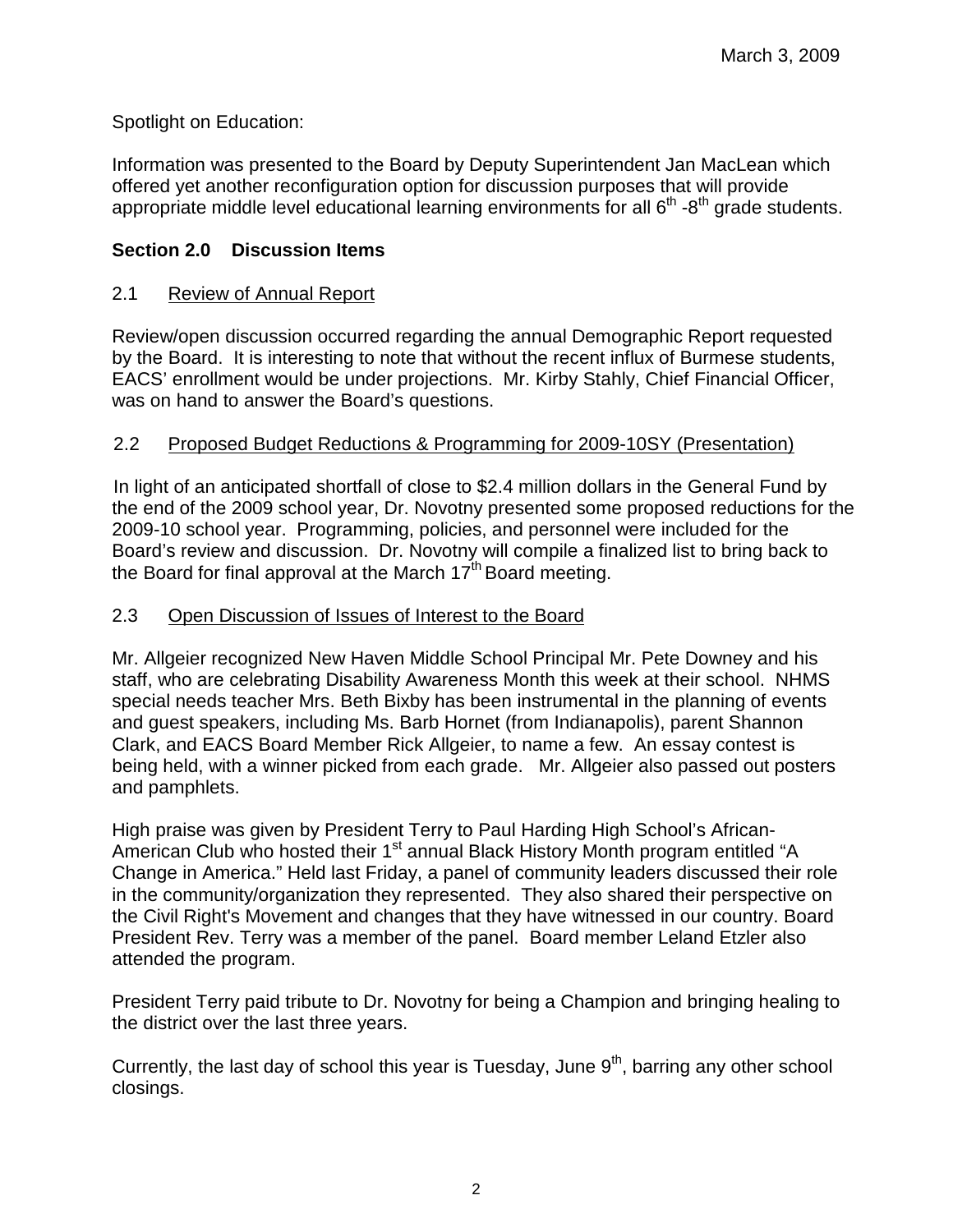Spotlight on Education:

Information was presented to the Board by Deputy Superintendent Jan MacLean which offered yet another reconfiguration option for discussion purposes that will provide appropriate middle level educational learning environments for all  $6<sup>th</sup>$  -8<sup>th</sup> grade students.

# **Section 2.0 Discussion Items**

# 2.1 Review of Annual Report

Review/open discussion occurred regarding the annual Demographic Report requested by the Board. It is interesting to note that without the recent influx of Burmese students, EACS' enrollment would be under projections. Mr. Kirby Stahly, Chief Financial Officer, was on hand to answer the Board's questions.

## 2.2 Proposed Budget Reductions & Programming for 2009-10SY (Presentation)

In light of an anticipated shortfall of close to \$2.4 million dollars in the General Fund by the end of the 2009 school year, Dr. Novotny presented some proposed reductions for the 2009-10 school year. Programming, policies, and personnel were included for the Board's review and discussion. Dr. Novotny will compile a finalized list to bring back to the Board for final approval at the March  $17<sup>th</sup>$  Board meeting.

## 2.3 Open Discussion of Issues of Interest to the Board

Mr. Allgeier recognized New Haven Middle School Principal Mr. Pete Downey and his staff, who are celebrating Disability Awareness Month this week at their school. NHMS special needs teacher Mrs. Beth Bixby has been instrumental in the planning of events and guest speakers, including Ms. Barb Hornet (from Indianapolis), parent Shannon Clark, and EACS Board Member Rick Allgeier, to name a few. An essay contest is being held, with a winner picked from each grade. Mr. Allgeier also passed out posters and pamphlets.

High praise was given by President Terry to Paul Harding High School's African-American Club who hosted their 1<sup>st</sup> annual Black History Month program entitled "A Change in America." Held last Friday, a panel of community leaders discussed their role in the community/organization they represented. They also shared their perspective on the Civil Right's Movement and changes that they have witnessed in our country. Board President Rev. Terry was a member of the panel. Board member Leland Etzler also attended the program.

President Terry paid tribute to Dr. Novotny for being a Champion and bringing healing to the district over the last three years.

Currently, the last day of school this year is Tuesday, June  $9<sup>th</sup>$ , barring any other school closings.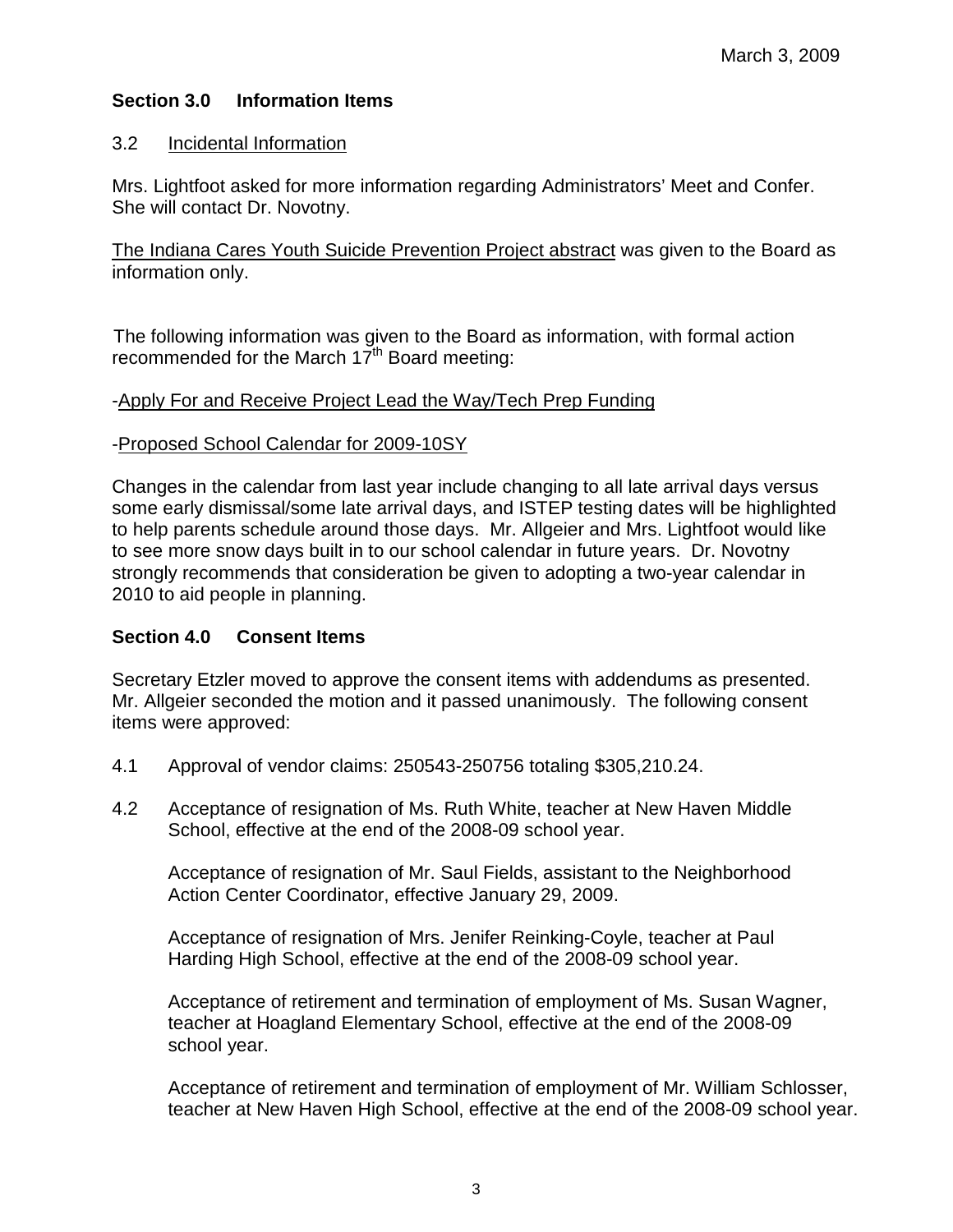# **Section 3.0 Information Items**

## 3.2 Incidental Information

Mrs. Lightfoot asked for more information regarding Administrators' Meet and Confer. She will contact Dr. Novotny.

The Indiana Cares Youth Suicide Prevention Project abstract was given to the Board as information only.

The following information was given to the Board as information, with formal action recommended for the March  $17<sup>th</sup>$  Board meeting:

#### -Apply For and Receive Project Lead the Way/Tech Prep Funding

#### -Proposed School Calendar for 2009-10SY

Changes in the calendar from last year include changing to all late arrival days versus some early dismissal/some late arrival days, and ISTEP testing dates will be highlighted to help parents schedule around those days. Mr. Allgeier and Mrs. Lightfoot would like to see more snow days built in to our school calendar in future years. Dr. Novotny strongly recommends that consideration be given to adopting a two-year calendar in 2010 to aid people in planning.

## **Section 4.0 Consent Items**

Secretary Etzler moved to approve the consent items with addendums as presented. Mr. Allgeier seconded the motion and it passed unanimously. The following consent items were approved:

- 4.1 Approval of vendor claims: 250543-250756 totaling \$305,210.24.
- 4.2 Acceptance of resignation of Ms. Ruth White, teacher at New Haven Middle School, effective at the end of the 2008-09 school year.

Acceptance of resignation of Mr. Saul Fields, assistant to the Neighborhood Action Center Coordinator, effective January 29, 2009.

Acceptance of resignation of Mrs. Jenifer Reinking-Coyle, teacher at Paul Harding High School, effective at the end of the 2008-09 school year.

Acceptance of retirement and termination of employment of Ms. Susan Wagner, teacher at Hoagland Elementary School, effective at the end of the 2008-09 school year.

 Acceptance of retirement and termination of employment of Mr. William Schlosser, teacher at New Haven High School, effective at the end of the 2008-09 school year.